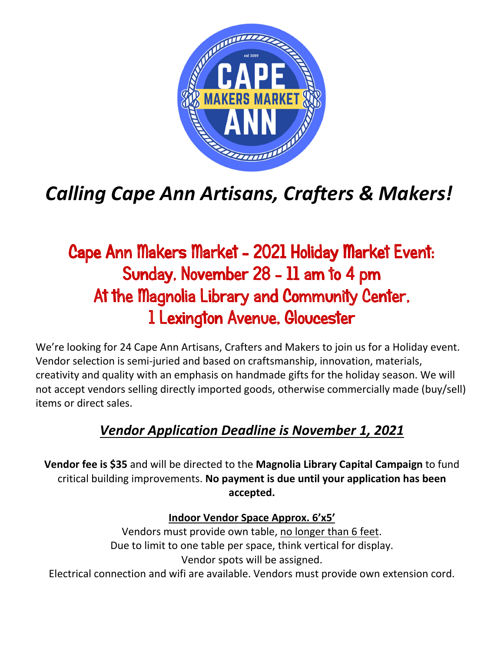

## *Calling Cape Ann Artisans, Crafters & Makers!*

## Cape Ann Makers Market - 2021 Holiday Market Event: Sunday, November 28 - 11 am to 4 pm At the Magnolia Library and Community Center, 1 Lexington Avenue, Gloucester

We're looking for 24 Cape Ann Artisans, Crafters and Makers to join us for a Holiday event. Vendor selection is semi-juried and based on craftsmanship, innovation, materials, creativity and quality with an emphasis on handmade gifts for the holiday season. We will not accept vendors selling directly imported goods, otherwise commercially made (buy/sell) items or direct sales.

## *Vendor Application Deadline is November 1, 2021*

**Vendor fee is \$35** and will be directed to the **Magnolia Library Capital Campaign** to fund critical building improvements. **No payment is due until your application has been accepted.**

## **Indoor Vendor Space Approx. 6'x5'**

Vendors must provide own table, no longer than 6 feet. Due to limit to one table per space, think vertical for display. Vendor spots will be assigned.

Electrical connection and wifi are available. Vendors must provide own extension cord.